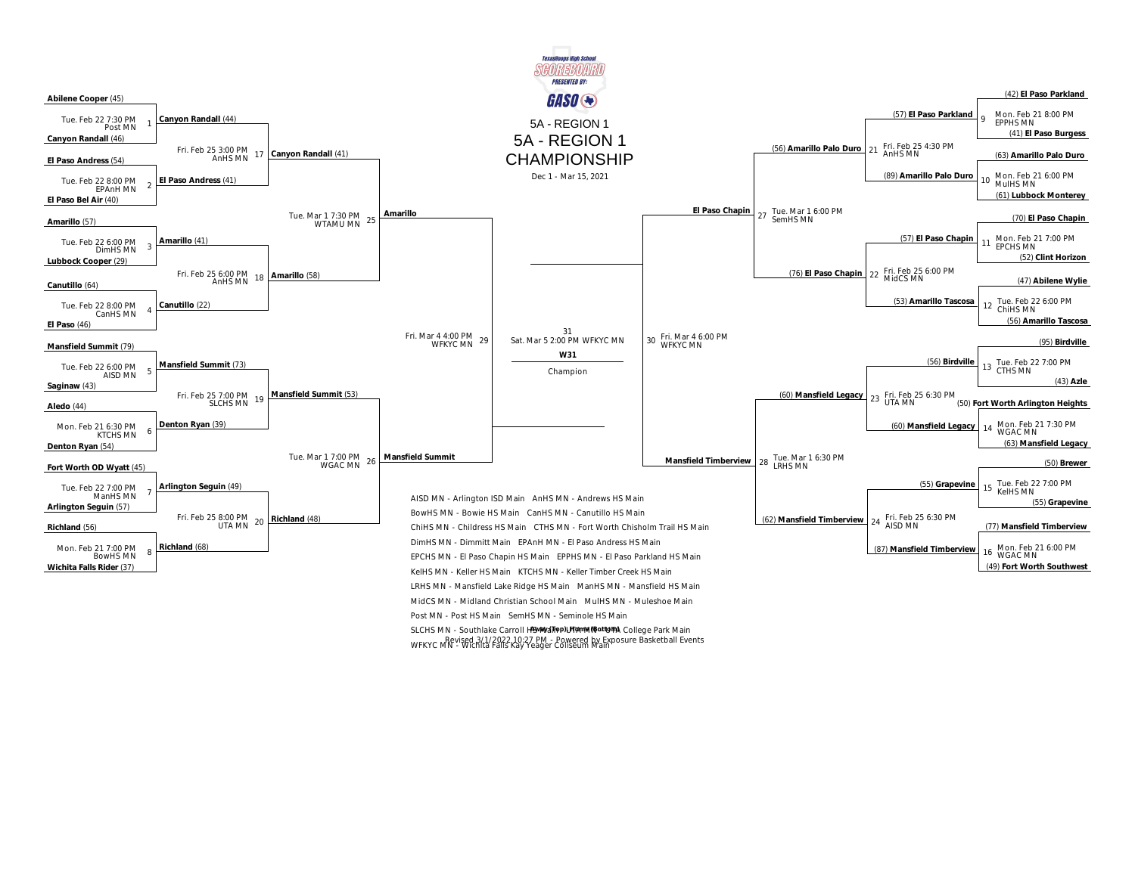

SLCHS MN - Southlake Carroll HSMMalipp)UTA MING at UTA College Park Main WFKYC MN - Wichita Falls Kay Yeager Coliseum Main Revised 3/1/2022 10:27 PM - Powered by Exposure Basketball Events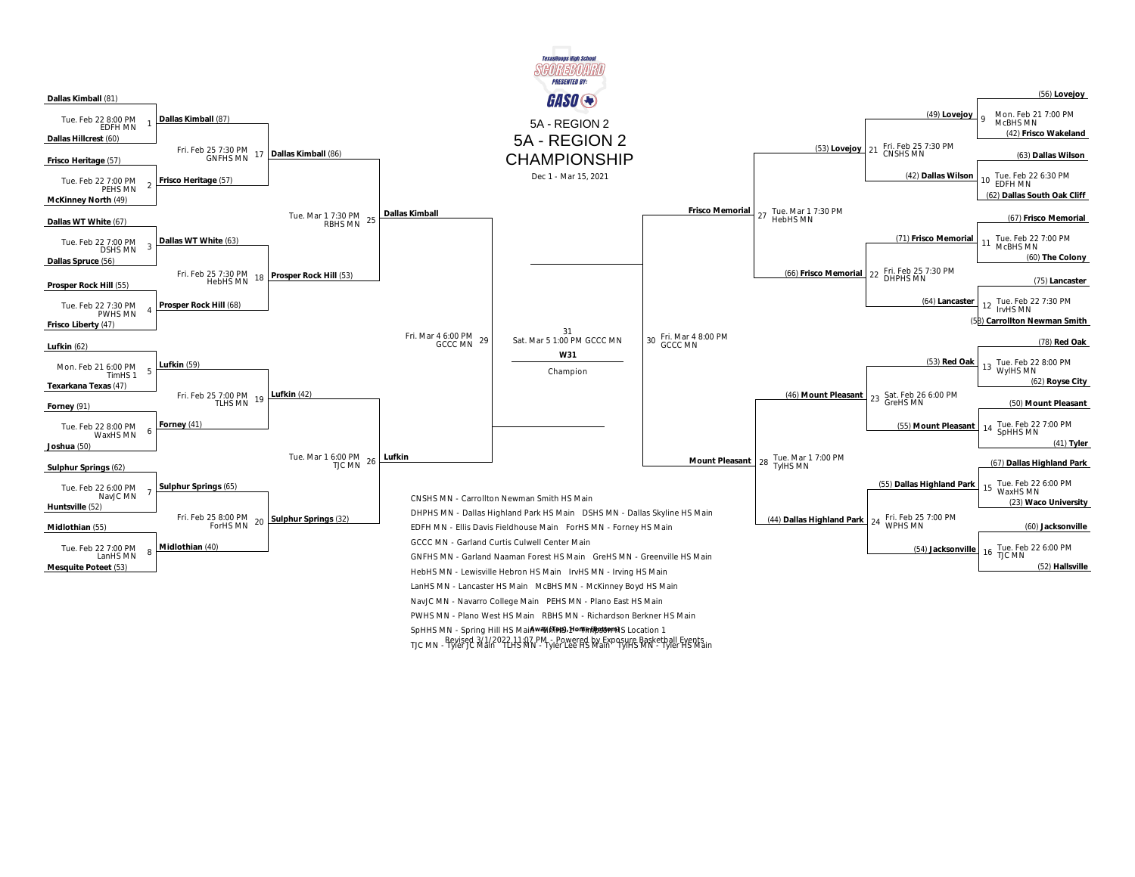

TJC MN - Pevised 3/1/2022 11:07 PM - Powered by Exposure Basketball Events<br>TJC MN - Tyler JC Main 1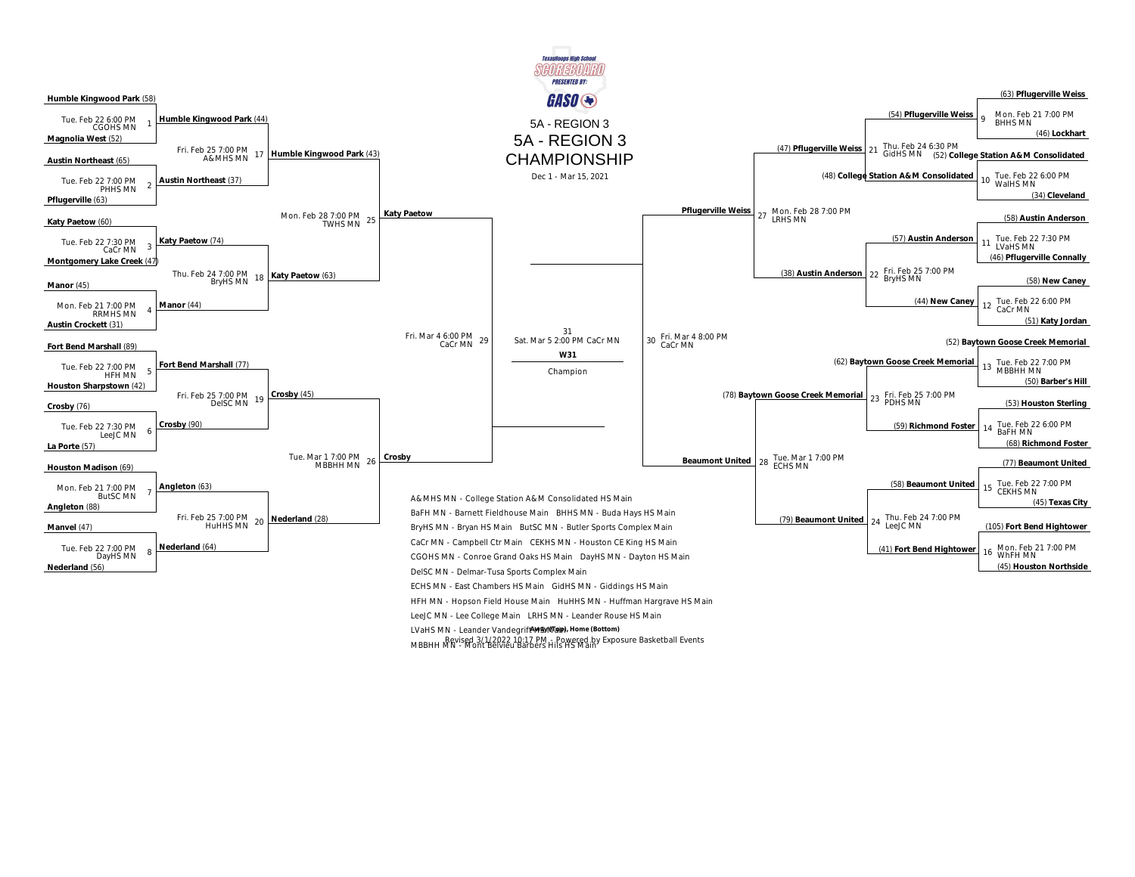

MBBHH MN - Mont Belvieu Barbers Hils HS Main Revised 3/1/2022 10:17 PM - Powered by Exposure Basketball Events